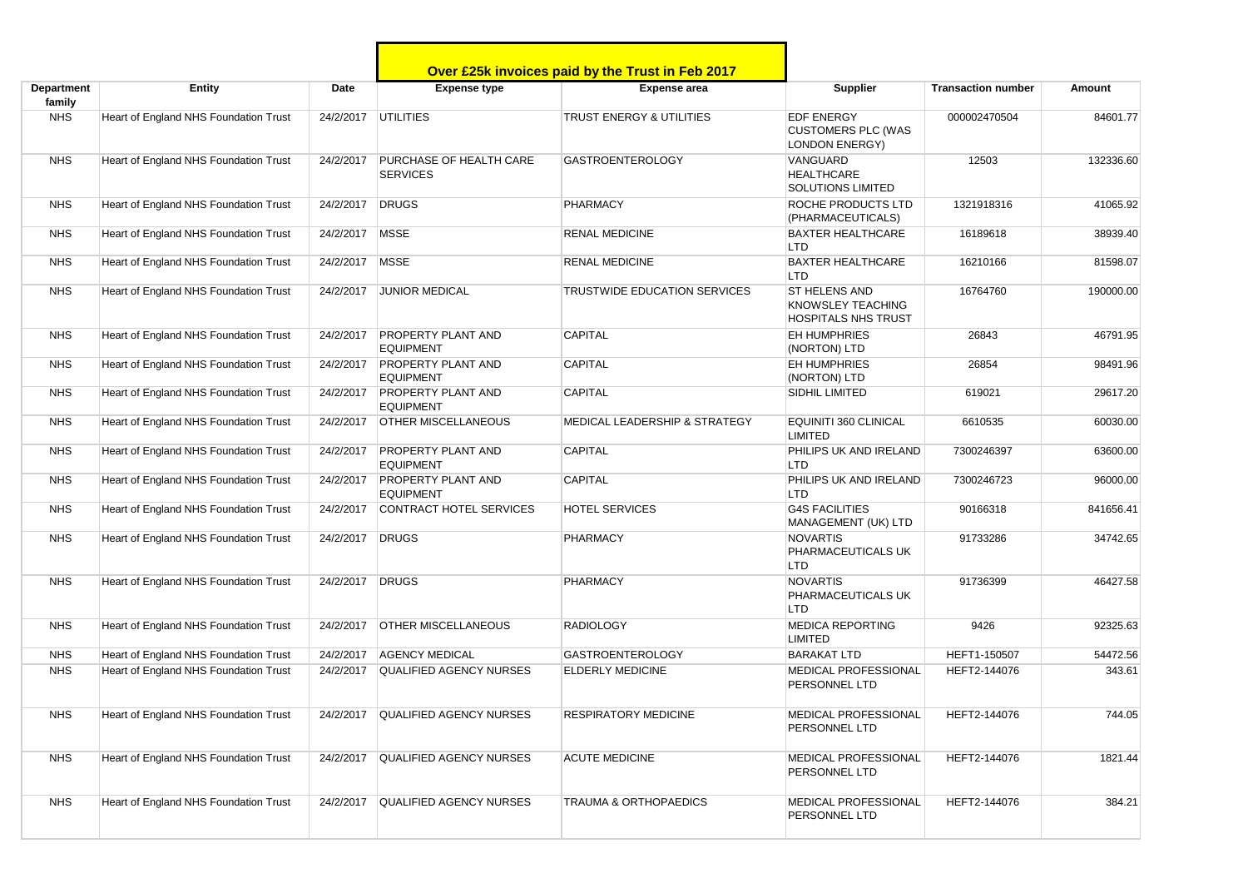|                      |                                       |                 |                                                   | <b>Over £25k invoices paid by the Trust in Feb 2017</b> |                                                                                |                           |           |
|----------------------|---------------------------------------|-----------------|---------------------------------------------------|---------------------------------------------------------|--------------------------------------------------------------------------------|---------------------------|-----------|
| Department<br>family | Entity                                | <b>Date</b>     | <b>Expense type</b>                               | <b>Expense area</b>                                     | <b>Supplier</b>                                                                | <b>Transaction number</b> | Amount    |
| <b>NHS</b>           | Heart of England NHS Foundation Trust |                 | 24/2/2017 UTILITIES                               | <b>TRUST ENERGY &amp; UTILITIES</b>                     | <b>EDF ENERGY</b><br><b>CUSTOMERS PLC (WAS</b><br>LONDON ENERGY)               | 000002470504              | 84601.77  |
| <b>NHS</b>           | Heart of England NHS Foundation Trust | 24/2/2017       | <b>PURCHASE OF HEALTH CARE</b><br><b>SERVICES</b> | <b>GASTROENTEROLOGY</b>                                 | VANGUARD<br><b>HEALTHCARE</b><br><b>SOLUTIONS LIMITED</b>                      | 12503                     | 132336.60 |
| <b>NHS</b>           | Heart of England NHS Foundation Trust | 24/2/2017       | DRUGS                                             | <b>PHARMACY</b>                                         | ROCHE PRODUCTS LTD<br>(PHARMACEUTICALS)                                        | 1321918316                | 41065.92  |
| <b>NHS</b>           | Heart of England NHS Foundation Trust | 24/2/2017       | <b>MSSE</b>                                       | <b>RENAL MEDICINE</b>                                   | <b>BAXTER HEALTHCARE</b><br>LTD                                                | 16189618                  | 38939.40  |
| <b>NHS</b>           | Heart of England NHS Foundation Trust | 24/2/2017       | <b>MSSE</b>                                       | <b>RENAL MEDICINE</b>                                   | <b>BAXTER HEALTHCARE</b><br><b>LTD</b>                                         | 16210166                  | 81598.07  |
| <b>NHS</b>           | Heart of England NHS Foundation Trust | 24/2/2017       | <b>JUNIOR MEDICAL</b>                             | <b>TRUSTWIDE EDUCATION SERVICES</b>                     | <b>ST HELENS AND</b><br><b>KNOWSLEY TEACHING</b><br><b>HOSPITALS NHS TRUST</b> | 16764760                  | 190000.00 |
| <b>NHS</b>           | Heart of England NHS Foundation Trust | 24/2/2017       | <b>PROPERTY PLANT AND</b><br><b>EQUIPMENT</b>     | <b>CAPITAL</b>                                          | <b>EH HUMPHRIES</b><br>(NORTON) LTD                                            | 26843                     | 46791.95  |
| <b>NHS</b>           | Heart of England NHS Foundation Trust | 24/2/2017       | <b>PROPERTY PLANT AND</b><br><b>EQUIPMENT</b>     | <b>CAPITAL</b>                                          | <b>EH HUMPHRIES</b><br>(NORTON) LTD                                            | 26854                     | 98491.96  |
| <b>NHS</b>           | Heart of England NHS Foundation Trust | 24/2/2017       | <b>PROPERTY PLANT AND</b><br><b>EQUIPMENT</b>     | <b>CAPITAL</b>                                          | SIDHIL LIMITED                                                                 | 619021                    | 29617.20  |
| <b>NHS</b>           | Heart of England NHS Foundation Trust | 24/2/2017       | <b>OTHER MISCELLANEOUS</b>                        | MEDICAL LEADERSHIP & STRATEGY                           | EQUINITI 360 CLINICAL<br><b>LIMITED</b>                                        | 6610535                   | 60030.00  |
| <b>NHS</b>           | Heart of England NHS Foundation Trust | 24/2/2017       | <b>PROPERTY PLANT AND</b><br><b>EQUIPMENT</b>     | <b>CAPITAL</b>                                          | PHILIPS UK AND IRELAND<br><b>LTD</b>                                           | 7300246397                | 63600.00  |
| <b>NHS</b>           | Heart of England NHS Foundation Trust | 24/2/2017       | <b>PROPERTY PLANT AND</b><br><b>EQUIPMENT</b>     | <b>CAPITAL</b>                                          | PHILIPS UK AND IRELAND<br><b>LTD</b>                                           | 7300246723                | 96000.00  |
| <b>NHS</b>           | Heart of England NHS Foundation Trust | 24/2/2017       | CONTRACT HOTEL SERVICES                           | <b>HOTEL SERVICES</b>                                   | <b>G4S FACILITIES</b><br>MANAGEMENT (UK) LTD                                   | 90166318                  | 841656.41 |
| <b>NHS</b>           | Heart of England NHS Foundation Trust | 24/2/2017 DRUGS |                                                   | PHARMACY                                                | <b>NOVARTIS</b><br>PHARMACEUTICALS UK<br><b>LTD</b>                            | 91733286                  | 34742.65  |
| <b>NHS</b>           | Heart of England NHS Foundation Trust | 24/2/2017 DRUGS |                                                   | PHARMACY                                                | <b>NOVARTIS</b><br>PHARMACEUTICALS UK<br><b>LTD</b>                            | 91736399                  | 46427.58  |
| <b>NHS</b>           | Heart of England NHS Foundation Trust | 24/2/2017       | <b>OTHER MISCELLANEOUS</b>                        | <b>RADIOLOGY</b>                                        | <b>MEDICA REPORTING</b><br><b>LIMITED</b>                                      | 9426                      | 92325.63  |
| <b>NHS</b>           | Heart of England NHS Foundation Trust | 24/2/2017       | <b>AGENCY MEDICAL</b>                             | <b>GASTROENTEROLOGY</b>                                 | <b>BARAKAT LTD</b>                                                             | HEFT1-150507              | 54472.56  |
| <b>NHS</b>           | Heart of England NHS Foundation Trust | 24/2/2017       | <b>QUALIFIED AGENCY NURSES</b>                    | <b>ELDERLY MEDICINE</b>                                 | MEDICAL PROFESSIONAL<br>PERSONNEL LTD                                          | HEFT2-144076              | 343.61    |
| <b>NHS</b>           | Heart of England NHS Foundation Trust | 24/2/2017       | QUALIFIED AGENCY NURSES                           | <b>RESPIRATORY MEDICINE</b>                             | <b>MEDICAL PROFESSIONAL</b><br>PERSONNEL LTD                                   | HEFT2-144076              | 744.05    |
| <b>NHS</b>           | Heart of England NHS Foundation Trust | 24/2/2017       | <b>QUALIFIED AGENCY NURSES</b>                    | <b>ACUTE MEDICINE</b>                                   | MEDICAL PROFESSIONAL<br>PERSONNEL LTD                                          | HEFT2-144076              | 1821.44   |
| <b>NHS</b>           | Heart of England NHS Foundation Trust | 24/2/2017       | QUALIFIED AGENCY NURSES                           | <b>TRAUMA &amp; ORTHOPAEDICS</b>                        | <b>MEDICAL PROFESSIONAL</b><br>PERSONNEL LTD                                   | HEFT2-144076              | 384.21    |

<u> 1989 - Johann Stein, marwolaethau a bhann an t-Amhair an t-Amhair an t-Amhair an t-Amhair an t-Amhair an t-A</u>

П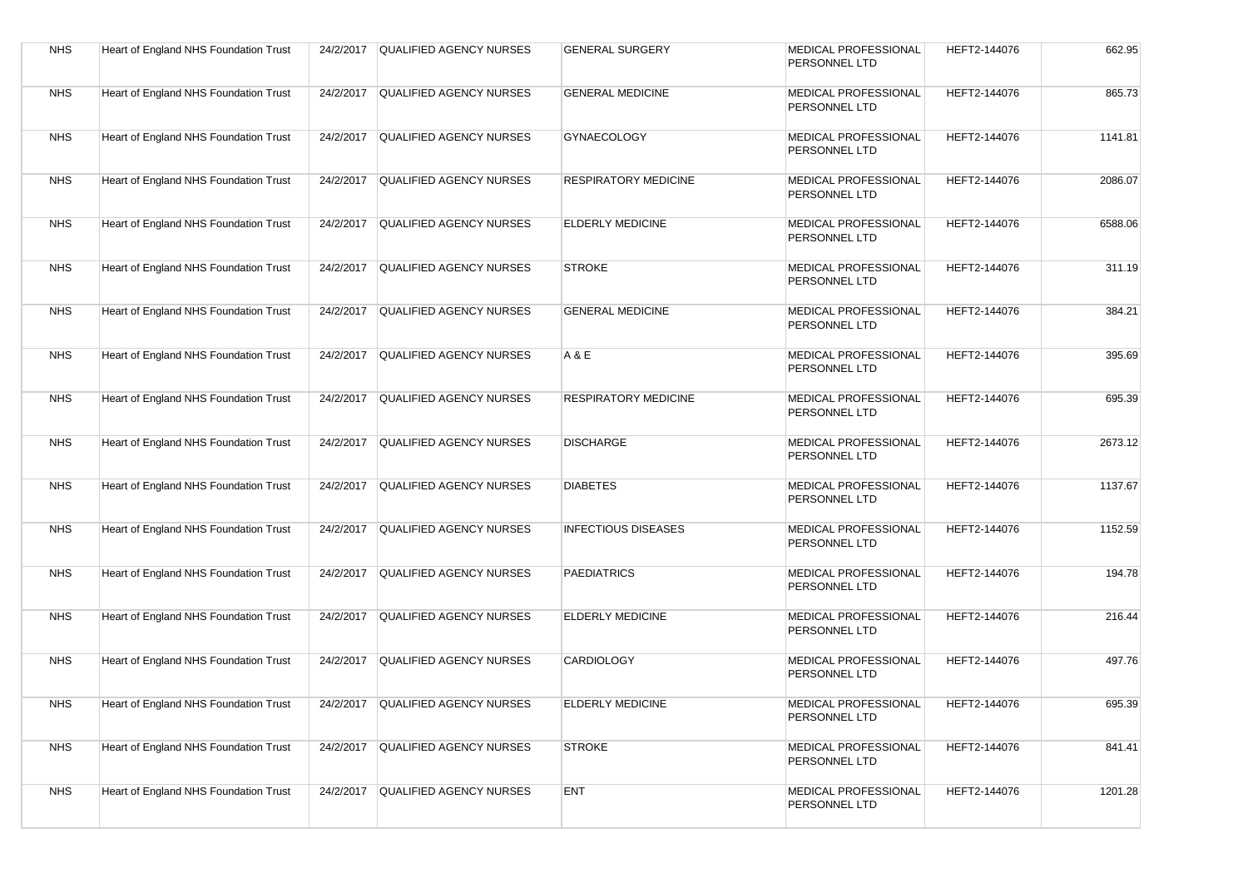| <b>NHS</b> | Heart of England NHS Foundation Trust |           | 24/2/2017 QUALIFIED AGENCY NURSES   | <b>GENERAL SURGERY</b>      | <b>MEDICAL PROFESSIONAL</b><br>PERSONNEL LTD | HEFT2-144076 | 662.95  |
|------------|---------------------------------------|-----------|-------------------------------------|-----------------------------|----------------------------------------------|--------------|---------|
| <b>NHS</b> | Heart of England NHS Foundation Trust |           | 24/2/2017 QUALIFIED AGENCY NURSES   | <b>GENERAL MEDICINE</b>     | MEDICAL PROFESSIONAL<br>PERSONNEL LTD        | HEFT2-144076 | 865.73  |
| <b>NHS</b> | Heart of England NHS Foundation Trust | 24/2/2017 | <b>QUALIFIED AGENCY NURSES</b>      | <b>GYNAECOLOGY</b>          | <b>MEDICAL PROFESSIONAL</b><br>PERSONNEL LTD | HEFT2-144076 | 1141.81 |
| <b>NHS</b> | Heart of England NHS Foundation Trust |           | 24/2/2017 QUALIFIED AGENCY NURSES   | <b>RESPIRATORY MEDICINE</b> | <b>MEDICAL PROFESSIONAL</b><br>PERSONNEL LTD | HEFT2-144076 | 2086.07 |
| <b>NHS</b> | Heart of England NHS Foundation Trust | 24/2/2017 | <b>QUALIFIED AGENCY NURSES</b>      | <b>ELDERLY MEDICINE</b>     | MEDICAL PROFESSIONAL<br>PERSONNEL LTD        | HEFT2-144076 | 6588.06 |
| <b>NHS</b> | Heart of England NHS Foundation Trust | 24/2/2017 | QUALIFIED AGENCY NURSES             | <b>STROKE</b>               | MEDICAL PROFESSIONAL<br>PERSONNEL LTD        | HEFT2-144076 | 311.19  |
| <b>NHS</b> | Heart of England NHS Foundation Trust | 24/2/2017 | <b>QUALIFIED AGENCY NURSES</b>      | <b>GENERAL MEDICINE</b>     | MEDICAL PROFESSIONAL<br>PERSONNEL LTD        | HEFT2-144076 | 384.21  |
| <b>NHS</b> | Heart of England NHS Foundation Trust |           | 24/2/2017 QUALIFIED AGENCY NURSES   | A & E                       | MEDICAL PROFESSIONAL<br>PERSONNEL LTD        | HEFT2-144076 | 395.69  |
| <b>NHS</b> | Heart of England NHS Foundation Trust | 24/2/2017 | QUALIFIED AGENCY NURSES             | <b>RESPIRATORY MEDICINE</b> | MEDICAL PROFESSIONAL<br>PERSONNEL LTD        | HEFT2-144076 | 695.39  |
| <b>NHS</b> | Heart of England NHS Foundation Trust | 24/2/2017 | <b>QUALIFIED AGENCY NURSES</b>      | <b>DISCHARGE</b>            | MEDICAL PROFESSIONAL<br>PERSONNEL LTD        | HEFT2-144076 | 2673.12 |
| <b>NHS</b> | Heart of England NHS Foundation Trust | 24/2/2017 | QUALIFIED AGENCY NURSES             | <b>DIABETES</b>             | MEDICAL PROFESSIONAL<br>PERSONNEL LTD        | HEFT2-144076 | 1137.67 |
| <b>NHS</b> | Heart of England NHS Foundation Trust |           | 24/2/2017 QUALIFIED AGENCY NURSES   | <b>INFECTIOUS DISEASES</b>  | MEDICAL PROFESSIONAL<br>PERSONNEL LTD        | HEFT2-144076 | 1152.59 |
| <b>NHS</b> | Heart of England NHS Foundation Trust |           | 24/2/2017 QUALIFIED AGENCY NURSES   | <b>PAEDIATRICS</b>          | MEDICAL PROFESSIONAL<br>PERSONNEL LTD        | HEFT2-144076 | 194.78  |
| <b>NHS</b> | Heart of England NHS Foundation Trust | 24/2/2017 | <b>QUALIFIED AGENCY NURSES</b>      | <b>ELDERLY MEDICINE</b>     | MEDICAL PROFESSIONAL<br>PERSONNEL LTD        | HEFT2-144076 | 216.44  |
| <b>NHS</b> | Heart of England NHS Foundation Trust | 24/2/2017 | <b>QUALIFIED AGENCY NURSES</b>      | CARDIOLOGY                  | <b>MEDICAL PROFESSIONAL</b><br>PERSONNEL LTD | HEFT2-144076 | 497.76  |
| <b>NHS</b> | Heart of England NHS Foundation Trust |           | 24/2/2017   QUALIFIED AGENCY NURSES | <b>ELDERLY MEDICINE</b>     | <b>MEDICAL PROFESSIONAL</b><br>PERSONNEL LTD | HEFT2-144076 | 695.39  |
| <b>NHS</b> | Heart of England NHS Foundation Trust | 24/2/2017 | QUALIFIED AGENCY NURSES             | <b>STROKE</b>               | MEDICAL PROFESSIONAL<br>PERSONNEL LTD        | HEFT2-144076 | 841.41  |
| <b>NHS</b> | Heart of England NHS Foundation Trust | 24/2/2017 | <b>QUALIFIED AGENCY NURSES</b>      | <b>ENT</b>                  | MEDICAL PROFESSIONAL<br>PERSONNEL LTD        | HEFT2-144076 | 1201.28 |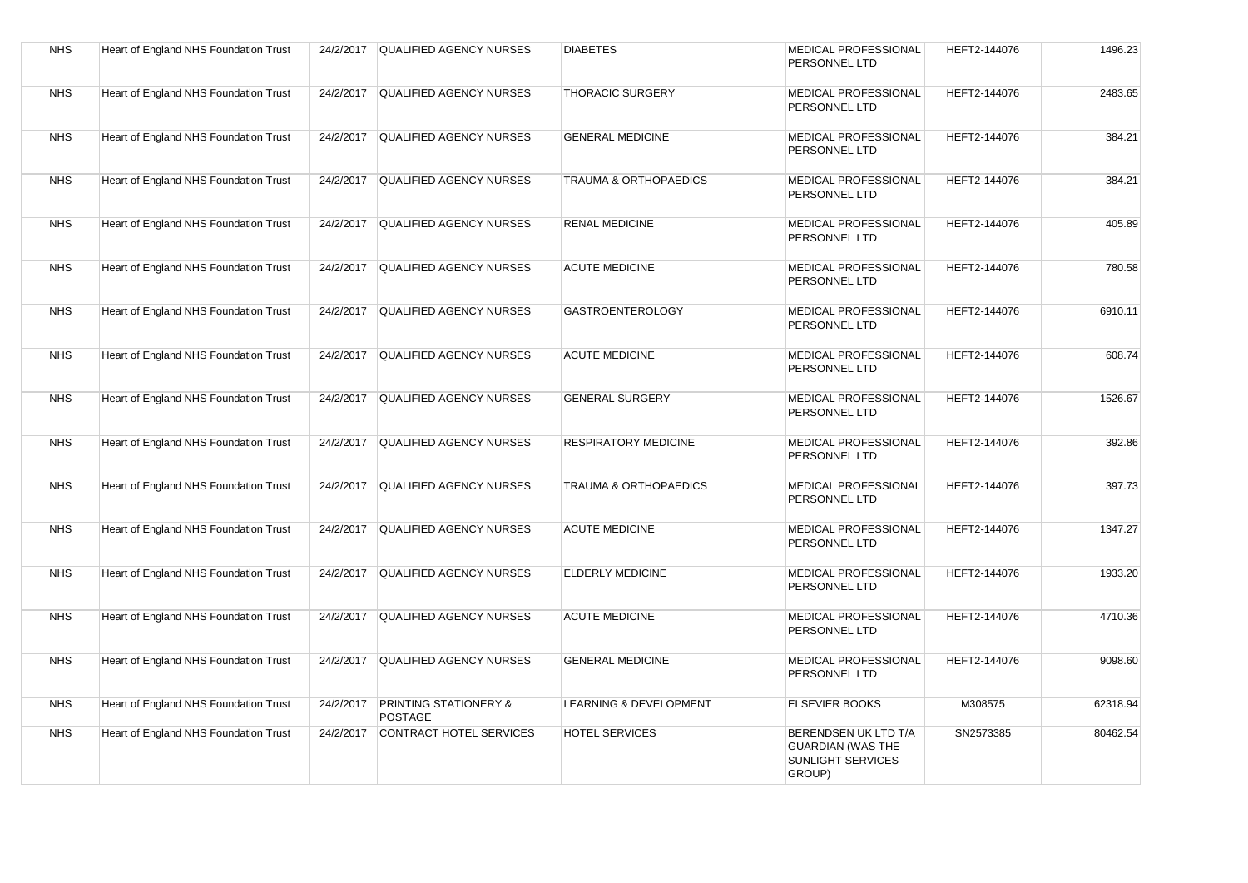| <b>NHS</b> | Heart of England NHS Foundation Trust |           | 24/2/2017 QUALIFIED AGENCY NURSES                  | <b>DIABETES</b>                   | <b>MEDICAL PROFESSIONAL</b><br>PERSONNEL LTD                                    | HEFT2-144076 | 1496.23  |
|------------|---------------------------------------|-----------|----------------------------------------------------|-----------------------------------|---------------------------------------------------------------------------------|--------------|----------|
| <b>NHS</b> | Heart of England NHS Foundation Trust | 24/2/2017 | QUALIFIED AGENCY NURSES                            | <b>THORACIC SURGERY</b>           | MEDICAL PROFESSIONAL<br>PERSONNEL LTD                                           | HEFT2-144076 | 2483.65  |
| <b>NHS</b> | Heart of England NHS Foundation Trust | 24/2/2017 | <b>QUALIFIED AGENCY NURSES</b>                     | <b>GENERAL MEDICINE</b>           | <b>MEDICAL PROFESSIONAL</b><br>PERSONNEL LTD                                    | HEFT2-144076 | 384.21   |
| <b>NHS</b> | Heart of England NHS Foundation Trust | 24/2/2017 | <b>QUALIFIED AGENCY NURSES</b>                     | <b>TRAUMA &amp; ORTHOPAEDICS</b>  | MEDICAL PROFESSIONAL<br>PERSONNEL LTD                                           | HEFT2-144076 | 384.21   |
| <b>NHS</b> | Heart of England NHS Foundation Trust | 24/2/2017 | <b>QUALIFIED AGENCY NURSES</b>                     | <b>RENAL MEDICINE</b>             | MEDICAL PROFESSIONAL<br>PERSONNEL LTD                                           | HEFT2-144076 | 405.89   |
| <b>NHS</b> | Heart of England NHS Foundation Trust | 24/2/2017 | QUALIFIED AGENCY NURSES                            | <b>ACUTE MEDICINE</b>             | MEDICAL PROFESSIONAL<br>PERSONNEL LTD                                           | HEFT2-144076 | 780.58   |
| <b>NHS</b> | Heart of England NHS Foundation Trust | 24/2/2017 | <b>QUALIFIED AGENCY NURSES</b>                     | <b>GASTROENTEROLOGY</b>           | <b>MEDICAL PROFESSIONAL</b><br>PERSONNEL LTD                                    | HEFT2-144076 | 6910.11  |
| <b>NHS</b> | Heart of England NHS Foundation Trust | 24/2/2017 | <b>QUALIFIED AGENCY NURSES</b>                     | <b>ACUTE MEDICINE</b>             | <b>MEDICAL PROFESSIONAL</b><br>PERSONNEL LTD                                    | HEFT2-144076 | 608.74   |
| <b>NHS</b> | Heart of England NHS Foundation Trust | 24/2/2017 | QUALIFIED AGENCY NURSES                            | <b>GENERAL SURGERY</b>            | MEDICAL PROFESSIONAL<br>PERSONNEL LTD                                           | HEFT2-144076 | 1526.67  |
| <b>NHS</b> | Heart of England NHS Foundation Trust | 24/2/2017 | <b>QUALIFIED AGENCY NURSES</b>                     | <b>RESPIRATORY MEDICINE</b>       | MEDICAL PROFESSIONAL<br>PERSONNEL LTD                                           | HEFT2-144076 | 392.86   |
| <b>NHS</b> | Heart of England NHS Foundation Trust | 24/2/2017 | QUALIFIED AGENCY NURSES                            | <b>TRAUMA &amp; ORTHOPAEDICS</b>  | <b>MEDICAL PROFESSIONAL</b><br>PERSONNEL LTD                                    | HEFT2-144076 | 397.73   |
| <b>NHS</b> | Heart of England NHS Foundation Trust | 24/2/2017 | <b>QUALIFIED AGENCY NURSES</b>                     | <b>ACUTE MEDICINE</b>             | <b>MEDICAL PROFESSIONAL</b><br>PERSONNEL LTD                                    | HEFT2-144076 | 1347.27  |
| <b>NHS</b> | Heart of England NHS Foundation Trust | 24/2/2017 | <b>QUALIFIED AGENCY NURSES</b>                     | <b>ELDERLY MEDICINE</b>           | <b>MEDICAL PROFESSIONAL</b><br>PERSONNEL LTD                                    | HEFT2-144076 | 1933.20  |
| <b>NHS</b> | Heart of England NHS Foundation Trust | 24/2/2017 | <b>QUALIFIED AGENCY NURSES</b>                     | <b>ACUTE MEDICINE</b>             | MEDICAL PROFESSIONAL<br>PERSONNEL LTD                                           | HEFT2-144076 | 4710.36  |
| <b>NHS</b> | Heart of England NHS Foundation Trust | 24/2/2017 | QUALIFIED AGENCY NURSES                            | <b>GENERAL MEDICINE</b>           | MEDICAL PROFESSIONAL<br>PERSONNEL LTD                                           | HEFT2-144076 | 9098.60  |
| <b>NHS</b> | Heart of England NHS Foundation Trust | 24/2/2017 | <b>PRINTING STATIONERY &amp;</b><br><b>POSTAGE</b> | <b>LEARNING &amp; DEVELOPMENT</b> | <b>ELSEVIER BOOKS</b>                                                           | M308575      | 62318.94 |
| <b>NHS</b> | Heart of England NHS Foundation Trust | 24/2/2017 | CONTRACT HOTEL SERVICES                            | <b>HOTEL SERVICES</b>             | BERENDSEN UK LTD T/A<br><b>GUARDIAN (WAS THE</b><br>SUNLIGHT SERVICES<br>GROUP) | SN2573385    | 80462.54 |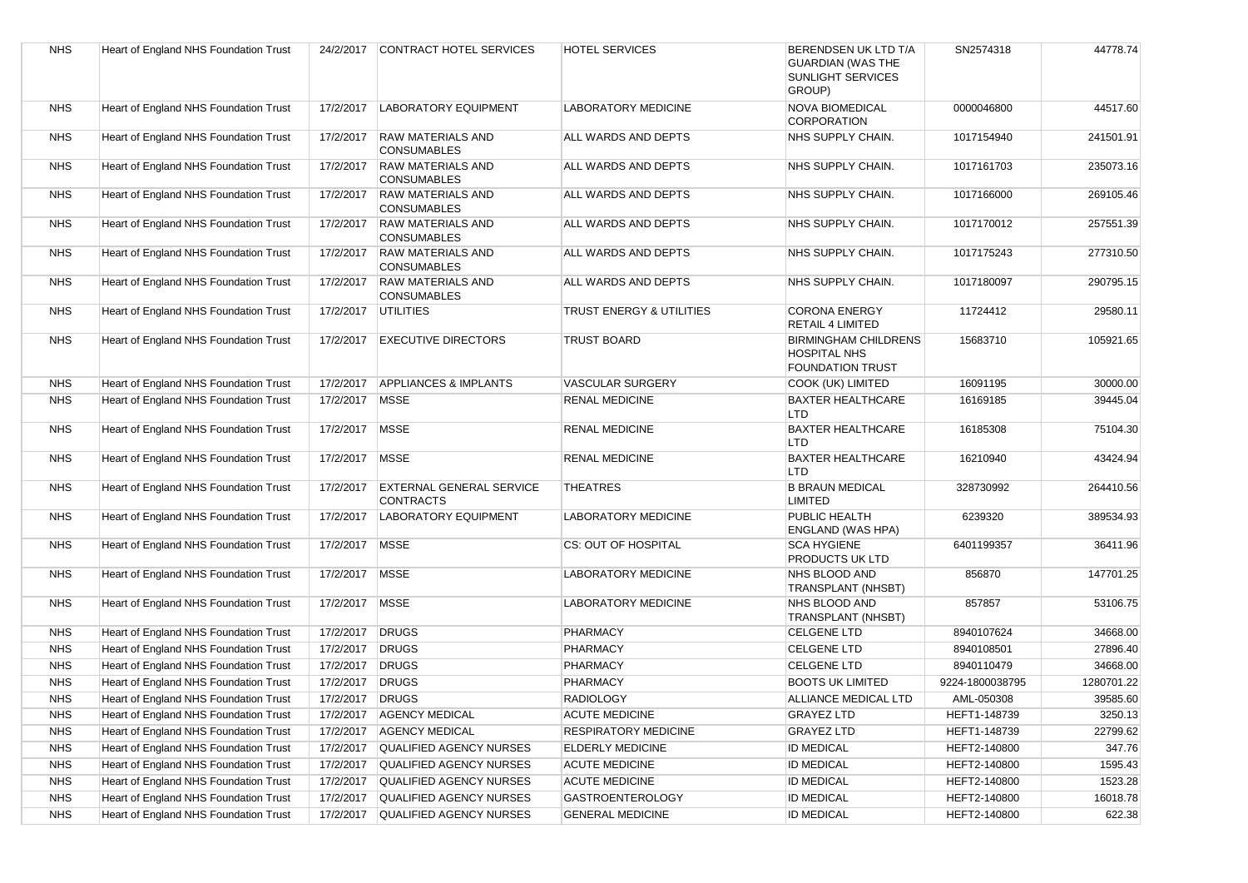| <b>NHS</b> | Heart of England NHS Foundation Trust | 24/2/2017 | <b>CONTRACT HOTEL SERVICES</b>                      | <b>HOTEL SERVICES</b>       | BERENDSEN UK LTD T/A<br><b>GUARDIAN (WAS THE</b><br>SUNLIGHT SERVICES<br>GROUP) | SN2574318       | 44778.74   |
|------------|---------------------------------------|-----------|-----------------------------------------------------|-----------------------------|---------------------------------------------------------------------------------|-----------------|------------|
| <b>NHS</b> | Heart of England NHS Foundation Trust | 17/2/2017 | <b>LABORATORY EQUIPMENT</b>                         | <b>LABORATORY MEDICINE</b>  | <b>NOVA BIOMEDICAL</b><br><b>CORPORATION</b>                                    | 0000046800      | 44517.60   |
| <b>NHS</b> | Heart of England NHS Foundation Trust | 17/2/2017 | <b>RAW MATERIALS AND</b><br><b>CONSUMABLES</b>      | ALL WARDS AND DEPTS         | NHS SUPPLY CHAIN.                                                               | 1017154940      | 241501.91  |
| <b>NHS</b> | Heart of England NHS Foundation Trust | 17/2/2017 | <b>RAW MATERIALS AND</b><br><b>CONSUMABLES</b>      | ALL WARDS AND DEPTS         | NHS SUPPLY CHAIN.                                                               | 1017161703      | 235073.16  |
| <b>NHS</b> | Heart of England NHS Foundation Trust | 17/2/2017 | <b>RAW MATERIALS AND</b><br><b>CONSUMABLES</b>      | ALL WARDS AND DEPTS         | NHS SUPPLY CHAIN.                                                               | 1017166000      | 269105.46  |
| <b>NHS</b> | Heart of England NHS Foundation Trust | 17/2/2017 | <b>RAW MATERIALS AND</b><br><b>CONSUMABLES</b>      | ALL WARDS AND DEPTS         | NHS SUPPLY CHAIN.                                                               | 1017170012      | 257551.39  |
| <b>NHS</b> | Heart of England NHS Foundation Trust | 17/2/2017 | <b>RAW MATERIALS AND</b><br><b>CONSUMABLES</b>      | ALL WARDS AND DEPTS         | NHS SUPPLY CHAIN.                                                               | 1017175243      | 277310.50  |
| <b>NHS</b> | Heart of England NHS Foundation Trust | 17/2/2017 | <b>RAW MATERIALS AND</b><br><b>CONSUMABLES</b>      | ALL WARDS AND DEPTS         | NHS SUPPLY CHAIN.                                                               | 1017180097      | 290795.15  |
| <b>NHS</b> | Heart of England NHS Foundation Trust | 17/2/2017 | <b>UTILITIES</b>                                    | TRUST ENERGY & UTILITIES    | <b>CORONA ENERGY</b><br>RETAIL 4 LIMITED                                        | 11724412        | 29580.11   |
| <b>NHS</b> | Heart of England NHS Foundation Trust | 17/2/2017 | <b>EXECUTIVE DIRECTORS</b>                          | <b>TRUST BOARD</b>          | <b>BIRMINGHAM CHILDRENS</b><br><b>HOSPITAL NHS</b><br><b>FOUNDATION TRUST</b>   | 15683710        | 105921.65  |
| <b>NHS</b> | Heart of England NHS Foundation Trust | 17/2/2017 | <b>APPLIANCES &amp; IMPLANTS</b>                    | <b>VASCULAR SURGERY</b>     | COOK (UK) LIMITED                                                               | 16091195        | 30000.00   |
| <b>NHS</b> | Heart of England NHS Foundation Trust | 17/2/2017 | <b>MSSE</b>                                         | <b>RENAL MEDICINE</b>       | <b>BAXTER HEALTHCARE</b><br><b>LTD</b>                                          | 16169185        | 39445.04   |
| <b>NHS</b> | Heart of England NHS Foundation Trust | 17/2/2017 | <b>MSSE</b>                                         | <b>RENAL MEDICINE</b>       | <b>BAXTER HEALTHCARE</b><br>LTD                                                 | 16185308        | 75104.30   |
| <b>NHS</b> | Heart of England NHS Foundation Trust | 17/2/2017 | <b>MSSE</b>                                         | <b>RENAL MEDICINE</b>       | <b>BAXTER HEALTHCARE</b><br>LTD                                                 | 16210940        | 43424.94   |
| <b>NHS</b> | Heart of England NHS Foundation Trust | 17/2/2017 | <b>EXTERNAL GENERAL SERVICE</b><br><b>CONTRACTS</b> | <b>THEATRES</b>             | <b>B BRAUN MEDICAL</b><br><b>LIMITED</b>                                        | 328730992       | 264410.56  |
| <b>NHS</b> | Heart of England NHS Foundation Trust | 17/2/2017 | <b>LABORATORY EQUIPMENT</b>                         | <b>LABORATORY MEDICINE</b>  | PUBLIC HEALTH<br>ENGLAND (WAS HPA)                                              | 6239320         | 389534.93  |
| <b>NHS</b> | Heart of England NHS Foundation Trust | 17/2/2017 | <b>MSSE</b>                                         | CS: OUT OF HOSPITAL         | <b>SCA HYGIENE</b><br>PRODUCTS UK LTD                                           | 6401199357      | 36411.96   |
| <b>NHS</b> | Heart of England NHS Foundation Trust | 17/2/2017 | <b>MSSE</b>                                         | <b>LABORATORY MEDICINE</b>  | NHS BLOOD AND<br><b>TRANSPLANT (NHSBT)</b>                                      | 856870          | 147701.25  |
| <b>NHS</b> | Heart of England NHS Foundation Trust | 17/2/2017 | <b>MSSE</b>                                         | LABORATORY MEDICINE         | NHS BLOOD AND<br><b>TRANSPLANT (NHSBT)</b>                                      | 857857          | 53106.75   |
| <b>NHS</b> | Heart of England NHS Foundation Trust | 17/2/2017 | <b>DRUGS</b>                                        | <b>PHARMACY</b>             | <b>CELGENE LTD</b>                                                              | 8940107624      | 34668.00   |
| <b>NHS</b> | Heart of England NHS Foundation Trust | 17/2/2017 | <b>DRUGS</b>                                        | <b>PHARMACY</b>             | <b>CELGENE LTD</b>                                                              | 8940108501      | 27896.40   |
| <b>NHS</b> | Heart of England NHS Foundation Trust | 17/2/2017 | <b>DRUGS</b>                                        | <b>PHARMACY</b>             | <b>CELGENE LTD</b>                                                              | 8940110479      | 34668.00   |
| <b>NHS</b> | Heart of England NHS Foundation Trust | 17/2/2017 | <b>DRUGS</b>                                        | PHARMACY                    | <b>BOOTS UK LIMITED</b>                                                         | 9224-1800038795 | 1280701.22 |
| <b>NHS</b> | Heart of England NHS Foundation Trust | 17/2/2017 | <b>DRUGS</b>                                        | <b>RADIOLOGY</b>            | ALLIANCE MEDICAL LTD                                                            | AML-050308      | 39585.60   |
| <b>NHS</b> | Heart of England NHS Foundation Trust | 17/2/2017 | <b>AGENCY MEDICAL</b>                               | <b>ACUTE MEDICINE</b>       | <b>GRAYEZ LTD</b>                                                               | HEFT1-148739    | 3250.13    |
| <b>NHS</b> | Heart of England NHS Foundation Trust | 17/2/2017 | <b>AGENCY MEDICAL</b>                               | <b>RESPIRATORY MEDICINE</b> | <b>GRAYEZ LTD</b>                                                               | HEFT1-148739    | 22799.62   |
| <b>NHS</b> | Heart of England NHS Foundation Trust | 17/2/2017 | <b>QUALIFIED AGENCY NURSES</b>                      | <b>ELDERLY MEDICINE</b>     | <b>ID MEDICAL</b>                                                               | HEFT2-140800    | 347.76     |
| <b>NHS</b> | Heart of England NHS Foundation Trust | 17/2/2017 | QUALIFIED AGENCY NURSES                             | <b>ACUTE MEDICINE</b>       | <b>ID MEDICAL</b>                                                               | HEFT2-140800    | 1595.43    |
| <b>NHS</b> | Heart of England NHS Foundation Trust | 17/2/2017 | QUALIFIED AGENCY NURSES                             | <b>ACUTE MEDICINE</b>       | <b>ID MEDICAL</b>                                                               | HEFT2-140800    | 1523.28    |
| <b>NHS</b> | Heart of England NHS Foundation Trust | 17/2/2017 | <b>QUALIFIED AGENCY NURSES</b>                      | <b>GASTROENTEROLOGY</b>     | <b>ID MEDICAL</b>                                                               | HEFT2-140800    | 16018.78   |
| <b>NHS</b> | Heart of England NHS Foundation Trust | 17/2/2017 | QUALIFIED AGENCY NURSES                             | <b>GENERAL MEDICINE</b>     | <b>ID MEDICAL</b>                                                               | HEFT2-140800    | 622.38     |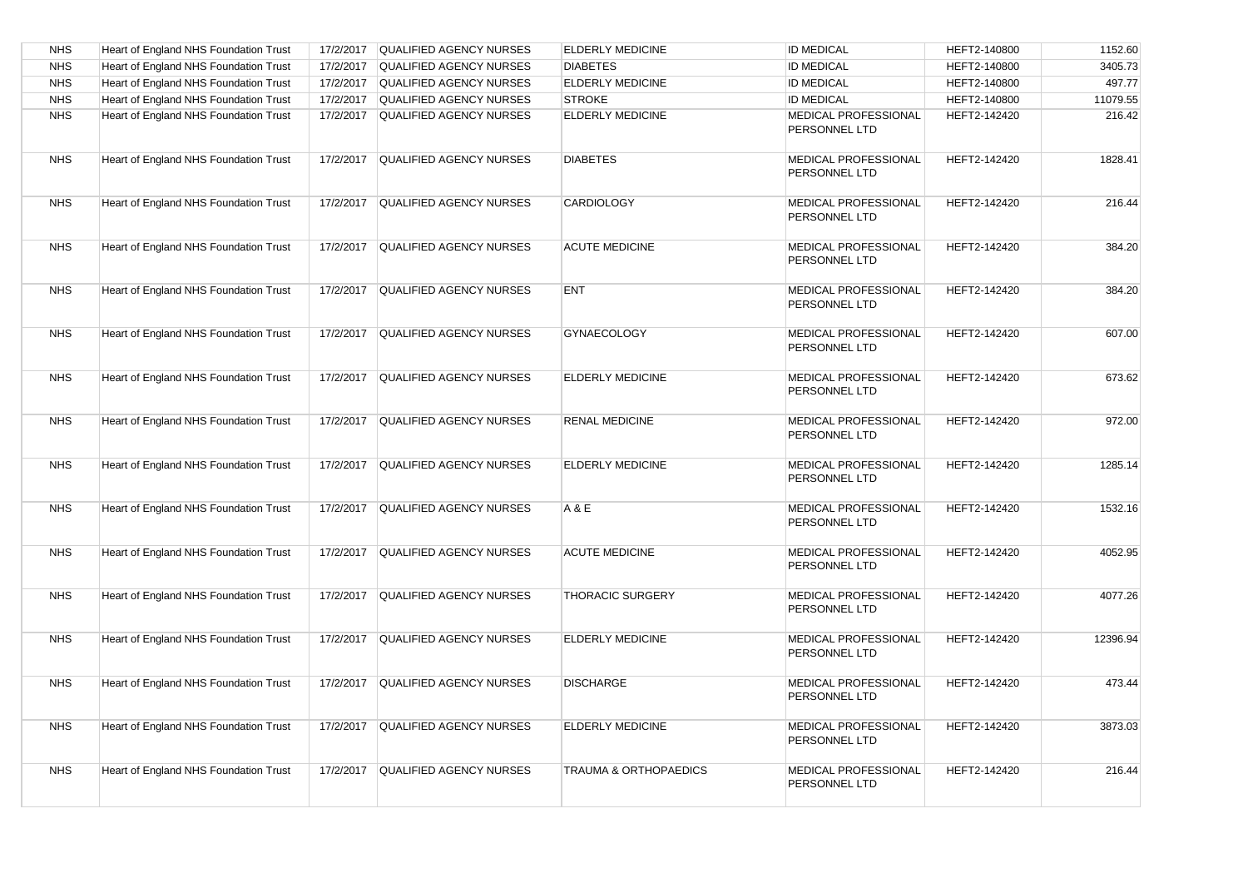| <b>NHS</b> | Heart of England NHS Foundation Trust | 17/2/2017 | QUALIFIED AGENCY NURSES        | <b>ELDERLY MEDICINE</b> | <b>ID MEDICAL</b>                            | HEFT2-140800 | 1152.60  |
|------------|---------------------------------------|-----------|--------------------------------|-------------------------|----------------------------------------------|--------------|----------|
| <b>NHS</b> | Heart of England NHS Foundation Trust | 17/2/2017 | <b>QUALIFIED AGENCY NURSES</b> | <b>DIABETES</b>         | <b>ID MEDICAL</b>                            | HEFT2-140800 | 3405.73  |
| <b>NHS</b> | Heart of England NHS Foundation Trust | 17/2/2017 | <b>QUALIFIED AGENCY NURSES</b> | <b>ELDERLY MEDICINE</b> | <b>ID MEDICAL</b>                            | HEFT2-140800 | 497.77   |
| <b>NHS</b> | Heart of England NHS Foundation Trust | 17/2/2017 | <b>QUALIFIED AGENCY NURSES</b> | <b>STROKE</b>           | <b>ID MEDICAL</b>                            | HEFT2-140800 | 11079.55 |
| <b>NHS</b> | Heart of England NHS Foundation Trust | 17/2/2017 | <b>QUALIFIED AGENCY NURSES</b> | <b>ELDERLY MEDICINE</b> | MEDICAL PROFESSIONAL<br>PERSONNEL LTD        | HEFT2-142420 | 216.42   |
| <b>NHS</b> | Heart of England NHS Foundation Trust | 17/2/2017 | QUALIFIED AGENCY NURSES        | <b>DIABETES</b>         | MEDICAL PROFESSIONAL<br>PERSONNEL LTD        | HEFT2-142420 | 1828.41  |
| <b>NHS</b> | Heart of England NHS Foundation Trust | 17/2/2017 | <b>QUALIFIED AGENCY NURSES</b> | <b>CARDIOLOGY</b>       | <b>MEDICAL PROFESSIONAL</b><br>PERSONNEL LTD | HEFT2-142420 | 216.44   |
| <b>NHS</b> | Heart of England NHS Foundation Trust | 17/2/2017 | <b>QUALIFIED AGENCY NURSES</b> | <b>ACUTE MEDICINE</b>   | <b>MEDICAL PROFESSIONAL</b><br>PERSONNEL LTD | HEFT2-142420 | 384.20   |
| <b>NHS</b> | Heart of England NHS Foundation Trust | 17/2/2017 | <b>QUALIFIED AGENCY NURSES</b> | <b>ENT</b>              | <b>MEDICAL PROFESSIONAL</b><br>PERSONNEL LTD | HEFT2-142420 | 384.20   |
| <b>NHS</b> | Heart of England NHS Foundation Trust | 17/2/2017 | QUALIFIED AGENCY NURSES        | <b>GYNAECOLOGY</b>      | MEDICAL PROFESSIONAL<br>PERSONNEL LTD        | HEFT2-142420 | 607.00   |
| <b>NHS</b> | Heart of England NHS Foundation Trust | 17/2/2017 | <b>QUALIFIED AGENCY NURSES</b> | <b>ELDERLY MEDICINE</b> | MEDICAL PROFESSIONAL<br>PERSONNEL LTD        | HEFT2-142420 | 673.62   |
| <b>NHS</b> | Heart of England NHS Foundation Trust | 17/2/2017 | QUALIFIED AGENCY NURSES        | <b>RENAL MEDICINE</b>   | MEDICAL PROFESSIONAL<br>PERSONNEL LTD        | HEFT2-142420 | 972.00   |
| <b>NHS</b> | Heart of England NHS Foundation Trust | 17/2/2017 | <b>QUALIFIED AGENCY NURSES</b> | <b>ELDERLY MEDICINE</b> | MEDICAL PROFESSIONAL<br>PERSONNEL LTD        | HEFT2-142420 | 1285.14  |
| <b>NHS</b> | Heart of England NHS Foundation Trust | 17/2/2017 | QUALIFIED AGENCY NURSES        | A & E                   | MEDICAL PROFESSIONAL<br>PERSONNEL LTD        | HEFT2-142420 | 1532.16  |
| <b>NHS</b> | Heart of England NHS Foundation Trust | 17/2/2017 | <b>QUALIFIED AGENCY NURSES</b> | <b>ACUTE MEDICINE</b>   | <b>MEDICAL PROFESSIONAL</b><br>PERSONNEL LTD | HEFT2-142420 | 4052.95  |
| <b>NHS</b> | Heart of England NHS Foundation Trust | 17/2/2017 | <b>QUALIFIED AGENCY NURSES</b> | <b>THORACIC SURGERY</b> | <b>MEDICAL PROFESSIONAL</b><br>PERSONNEL LTD | HEFT2-142420 | 4077.26  |
| <b>NHS</b> | Heart of England NHS Foundation Trust | 17/2/2017 | QUALIFIED AGENCY NURSES        | <b>ELDERLY MEDICINE</b> | MEDICAL PROFESSIONAL<br>PERSONNEL LTD        | HEFT2-142420 | 12396.94 |
| <b>NHS</b> | Heart of England NHS Foundation Trust | 17/2/2017 | <b>QUALIFIED AGENCY NURSES</b> | <b>DISCHARGE</b>        | MEDICAL PROFESSIONAL<br>PERSONNEL LTD        | HEFT2-142420 | 473.44   |
| <b>NHS</b> | Heart of England NHS Foundation Trust | 17/2/2017 | QUALIFIED AGENCY NURSES        | <b>ELDERLY MEDICINE</b> | MEDICAL PROFESSIONAL<br>PERSONNEL LTD        | HEFT2-142420 | 3873.03  |
| <b>NHS</b> | Heart of England NHS Foundation Trust | 17/2/2017 | <b>QUALIFIED AGENCY NURSES</b> | TRAUMA & ORTHOPAEDICS   | MEDICAL PROFESSIONAL<br>PERSONNEL LTD        | HEFT2-142420 | 216.44   |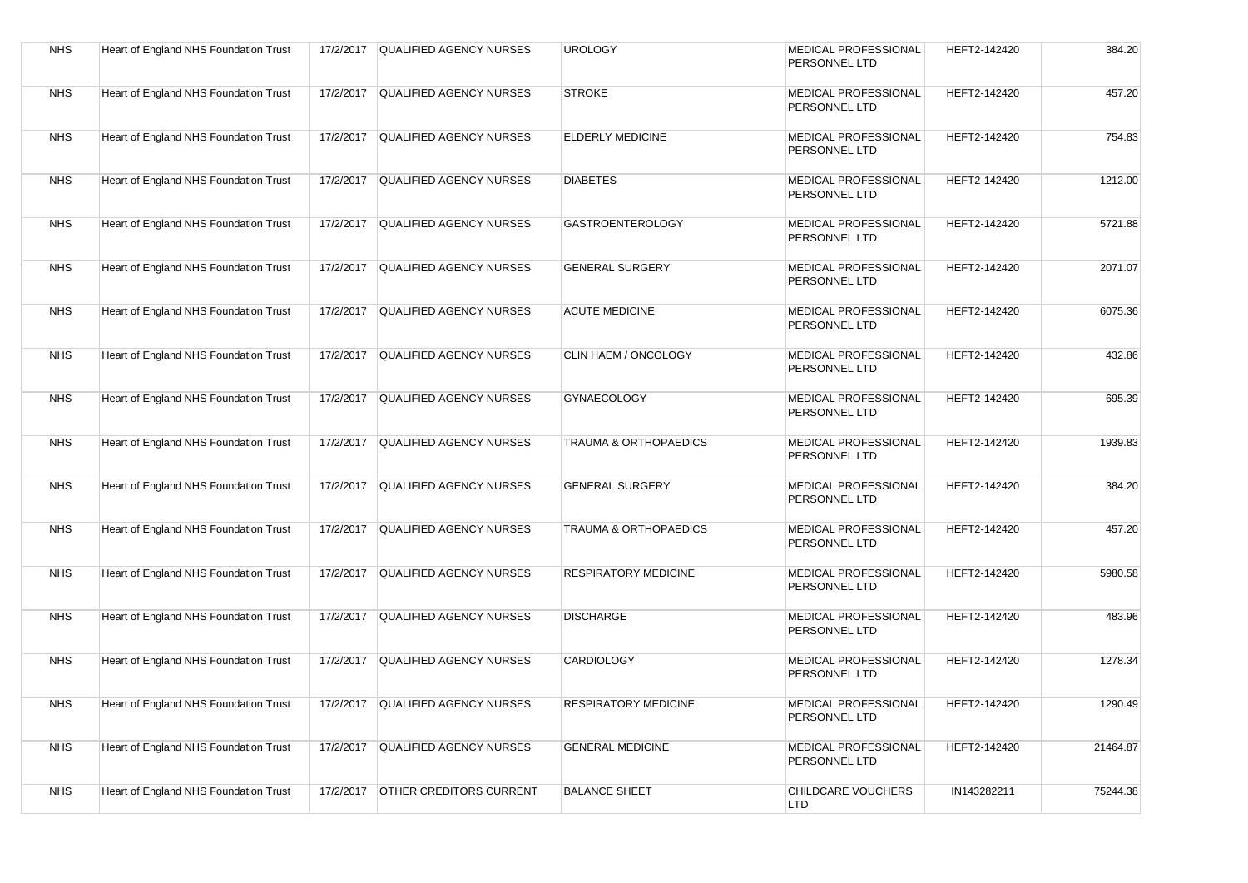| <b>NHS</b> | Heart of England NHS Foundation Trust |           | 17/2/2017 QUALIFIED AGENCY NURSES | <b>UROLOGY</b>                   | MEDICAL PROFESSIONAL<br>PERSONNEL LTD        | HEFT2-142420 | 384.20   |
|------------|---------------------------------------|-----------|-----------------------------------|----------------------------------|----------------------------------------------|--------------|----------|
| <b>NHS</b> | Heart of England NHS Foundation Trust | 17/2/2017 | QUALIFIED AGENCY NURSES           | <b>STROKE</b>                    | MEDICAL PROFESSIONAL<br>PERSONNEL LTD        | HEFT2-142420 | 457.20   |
| <b>NHS</b> | Heart of England NHS Foundation Trust |           | 17/2/2017 QUALIFIED AGENCY NURSES | <b>ELDERLY MEDICINE</b>          | MEDICAL PROFESSIONAL<br>PERSONNEL LTD        | HEFT2-142420 | 754.83   |
| <b>NHS</b> | Heart of England NHS Foundation Trust |           | 17/2/2017 QUALIFIED AGENCY NURSES | <b>DIABETES</b>                  | MEDICAL PROFESSIONAL<br>PERSONNEL LTD        | HEFT2-142420 | 1212.00  |
| <b>NHS</b> | Heart of England NHS Foundation Trust |           | 17/2/2017 QUALIFIED AGENCY NURSES | <b>GASTROENTEROLOGY</b>          | MEDICAL PROFESSIONAL<br>PERSONNEL LTD        | HEFT2-142420 | 5721.88  |
| <b>NHS</b> | Heart of England NHS Foundation Trust | 17/2/2017 | QUALIFIED AGENCY NURSES           | <b>GENERAL SURGERY</b>           | MEDICAL PROFESSIONAL<br>PERSONNEL LTD        | HEFT2-142420 | 2071.07  |
| <b>NHS</b> | Heart of England NHS Foundation Trust | 17/2/2017 | <b>QUALIFIED AGENCY NURSES</b>    | <b>ACUTE MEDICINE</b>            | MEDICAL PROFESSIONAL<br>PERSONNEL LTD        | HEFT2-142420 | 6075.36  |
| <b>NHS</b> | Heart of England NHS Foundation Trust | 17/2/2017 | QUALIFIED AGENCY NURSES           | CLIN HAEM / ONCOLOGY             | MEDICAL PROFESSIONAL<br>PERSONNEL LTD        | HEFT2-142420 | 432.86   |
| <b>NHS</b> | Heart of England NHS Foundation Trust | 17/2/2017 | <b>QUALIFIED AGENCY NURSES</b>    | <b>GYNAECOLOGY</b>               | <b>MEDICAL PROFESSIONAL</b><br>PERSONNEL LTD | HEFT2-142420 | 695.39   |
| <b>NHS</b> | Heart of England NHS Foundation Trust | 17/2/2017 | <b>QUALIFIED AGENCY NURSES</b>    | TRAUMA & ORTHOPAEDICS            | MEDICAL PROFESSIONAL<br>PERSONNEL LTD        | HEFT2-142420 | 1939.83  |
| <b>NHS</b> | Heart of England NHS Foundation Trust | 17/2/2017 | QUALIFIED AGENCY NURSES           | <b>GENERAL SURGERY</b>           | MEDICAL PROFESSIONAL<br>PERSONNEL LTD        | HEFT2-142420 | 384.20   |
| <b>NHS</b> | Heart of England NHS Foundation Trust |           | 17/2/2017 QUALIFIED AGENCY NURSES | <b>TRAUMA &amp; ORTHOPAEDICS</b> | MEDICAL PROFESSIONAL<br>PERSONNEL LTD        | HEFT2-142420 | 457.20   |
| <b>NHS</b> | Heart of England NHS Foundation Trust |           | 17/2/2017 QUALIFIED AGENCY NURSES | <b>RESPIRATORY MEDICINE</b>      | MEDICAL PROFESSIONAL<br>PERSONNEL LTD        | HEFT2-142420 | 5980.58  |
| <b>NHS</b> | Heart of England NHS Foundation Trust | 17/2/2017 | <b>QUALIFIED AGENCY NURSES</b>    | <b>DISCHARGE</b>                 | MEDICAL PROFESSIONAL<br>PERSONNEL LTD        | HEFT2-142420 | 483.96   |
| <b>NHS</b> | Heart of England NHS Foundation Trust | 17/2/2017 | QUALIFIED AGENCY NURSES           | <b>CARDIOLOGY</b>                | MEDICAL PROFESSIONAL<br>PERSONNEL LTD        | HEFT2-142420 | 1278.34  |
| <b>NHS</b> | Heart of England NHS Foundation Trust | 17/2/2017 | <b>QUALIFIED AGENCY NURSES</b>    | <b>RESPIRATORY MEDICINE</b>      | MEDICAL PROFESSIONAL<br>PERSONNEL LTD        | HEFT2-142420 | 1290.49  |
| <b>NHS</b> | Heart of England NHS Foundation Trust | 17/2/2017 | <b>QUALIFIED AGENCY NURSES</b>    | <b>GENERAL MEDICINE</b>          | MEDICAL PROFESSIONAL<br>PERSONNEL LTD        | HEFT2-142420 | 21464.87 |
| <b>NHS</b> | Heart of England NHS Foundation Trust | 17/2/2017 | <b>OTHER CREDITORS CURRENT</b>    | <b>BALANCE SHEET</b>             | CHILDCARE VOUCHERS<br><b>LTD</b>             | IN143282211  | 75244.38 |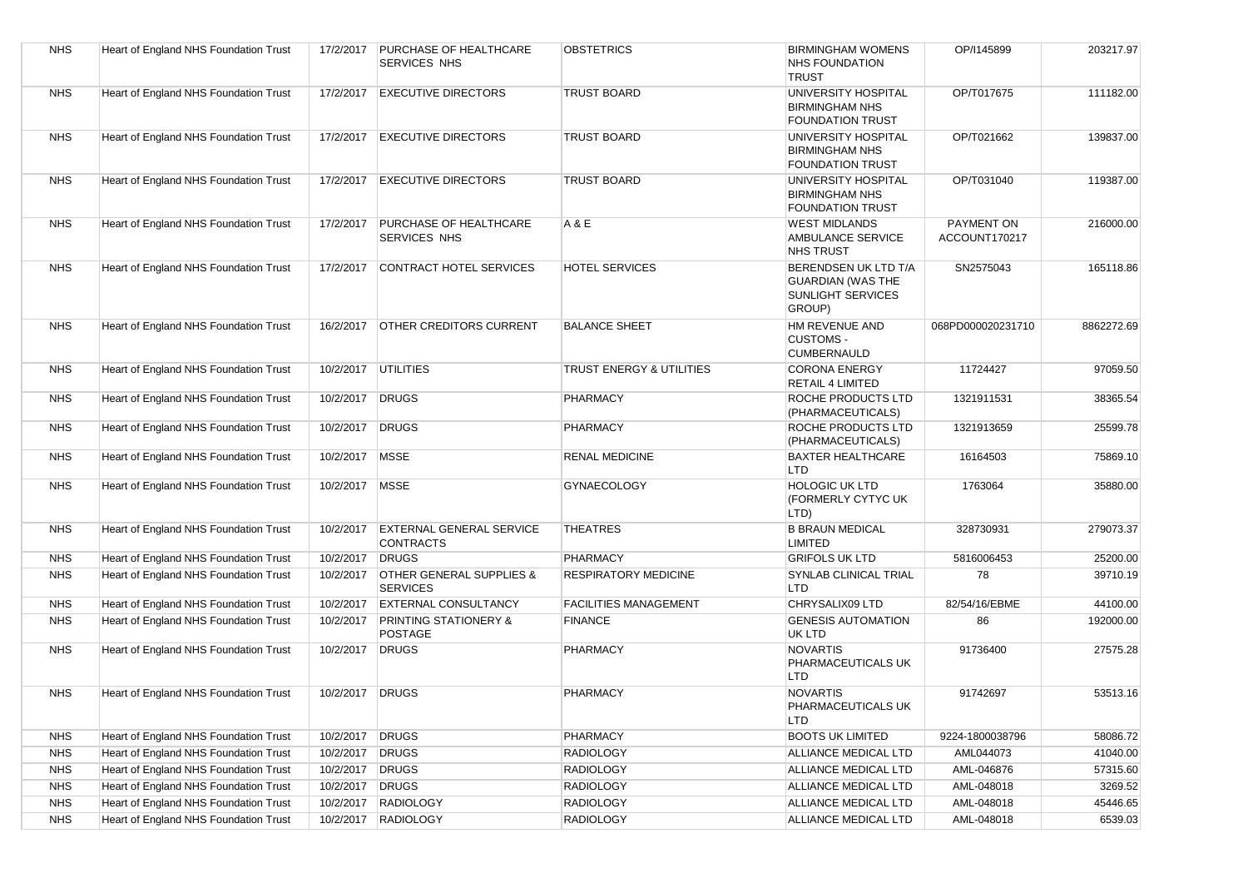| <b>NHS</b> | Heart of England NHS Foundation Trust | 17/2/2017       | PURCHASE OF HEALTHCARE<br><b>SERVICES NHS</b>          | <b>OBSTETRICS</b>                   | <b>BIRMINGHAM WOMENS</b><br>NHS FOUNDATION<br><b>TRUST</b>                      | OP/I145899                  | 203217.97  |
|------------|---------------------------------------|-----------------|--------------------------------------------------------|-------------------------------------|---------------------------------------------------------------------------------|-----------------------------|------------|
| <b>NHS</b> | Heart of England NHS Foundation Trust | 17/2/2017       | <b>EXECUTIVE DIRECTORS</b>                             | <b>TRUST BOARD</b>                  | UNIVERSITY HOSPITAL<br><b>BIRMINGHAM NHS</b><br><b>FOUNDATION TRUST</b>         | OP/T017675                  | 111182.00  |
| <b>NHS</b> | Heart of England NHS Foundation Trust | 17/2/2017       | <b>EXECUTIVE DIRECTORS</b>                             | <b>TRUST BOARD</b>                  | UNIVERSITY HOSPITAL<br><b>BIRMINGHAM NHS</b><br><b>FOUNDATION TRUST</b>         | OP/T021662                  | 139837.00  |
| <b>NHS</b> | Heart of England NHS Foundation Trust | 17/2/2017       | <b>EXECUTIVE DIRECTORS</b>                             | <b>TRUST BOARD</b>                  | UNIVERSITY HOSPITAL<br><b>BIRMINGHAM NHS</b><br><b>FOUNDATION TRUST</b>         | OP/T031040                  | 119387.00  |
| <b>NHS</b> | Heart of England NHS Foundation Trust | 17/2/2017       | PURCHASE OF HEALTHCARE<br><b>SERVICES NHS</b>          | A & E                               | <b>WEST MIDLANDS</b><br>AMBULANCE SERVICE<br><b>NHS TRUST</b>                   | PAYMENT ON<br>ACCOUNT170217 | 216000.00  |
| <b>NHS</b> | Heart of England NHS Foundation Trust | 17/2/2017       | CONTRACT HOTEL SERVICES                                | <b>HOTEL SERVICES</b>               | BERENDSEN UK LTD T/A<br><b>GUARDIAN (WAS THE</b><br>SUNLIGHT SERVICES<br>GROUP) | SN2575043                   | 165118.86  |
| <b>NHS</b> | Heart of England NHS Foundation Trust | 16/2/2017       | <b>OTHER CREDITORS CURRENT</b>                         | <b>BALANCE SHEET</b>                | HM REVENUE AND<br><b>CUSTOMS -</b><br><b>CUMBERNAULD</b>                        | 068PD000020231710           | 8862272.69 |
| <b>NHS</b> | Heart of England NHS Foundation Trust | 10/2/2017       | <b>UTILITIES</b>                                       | <b>TRUST ENERGY &amp; UTILITIES</b> | <b>CORONA ENERGY</b><br>RETAIL 4 LIMITED                                        | 11724427                    | 97059.50   |
| <b>NHS</b> | Heart of England NHS Foundation Trust | 10/2/2017       | <b>DRUGS</b>                                           | PHARMACY                            | ROCHE PRODUCTS LTD<br>(PHARMACEUTICALS)                                         | 1321911531                  | 38365.54   |
| <b>NHS</b> | Heart of England NHS Foundation Trust | 10/2/2017       | <b>DRUGS</b>                                           | PHARMACY                            | ROCHE PRODUCTS LTD<br>(PHARMACEUTICALS)                                         | 1321913659                  | 25599.78   |
| <b>NHS</b> | Heart of England NHS Foundation Trust | 10/2/2017       | <b>MSSE</b>                                            | RENAL MEDICINE                      | <b>BAXTER HEALTHCARE</b><br>LTD                                                 | 16164503                    | 75869.10   |
| <b>NHS</b> | Heart of England NHS Foundation Trust | 10/2/2017       | <b>MSSE</b>                                            | <b>GYNAECOLOGY</b>                  | <b>HOLOGIC UK LTD</b><br>(FORMERLY CYTYC UK<br>LTD)                             | 1763064                     | 35880.00   |
| <b>NHS</b> | Heart of England NHS Foundation Trust | 10/2/2017       | <b>EXTERNAL GENERAL SERVICE</b><br><b>CONTRACTS</b>    | <b>THEATRES</b>                     | <b>B BRAUN MEDICAL</b><br>LIMITED                                               | 328730931                   | 279073.37  |
| <b>NHS</b> | Heart of England NHS Foundation Trust | 10/2/2017       | <b>DRUGS</b>                                           | <b>PHARMACY</b>                     | <b>GRIFOLS UK LTD</b>                                                           | 5816006453                  | 25200.00   |
| <b>NHS</b> | Heart of England NHS Foundation Trust | 10/2/2017       | <b>OTHER GENERAL SUPPLIES &amp;</b><br><b>SERVICES</b> | <b>RESPIRATORY MEDICINE</b>         | SYNLAB CLINICAL TRIAL<br><b>LTD</b>                                             | 78                          | 39710.19   |
| <b>NHS</b> | Heart of England NHS Foundation Trust | 10/2/2017       | <b>EXTERNAL CONSULTANCY</b>                            | <b>FACILITIES MANAGEMENT</b>        | CHRYSALIX09 LTD                                                                 | 82/54/16/EBME               | 44100.00   |
| <b>NHS</b> | Heart of England NHS Foundation Trust | 10/2/2017       | <b>PRINTING STATIONERY &amp;</b><br><b>POSTAGE</b>     | <b>FINANCE</b>                      | <b>GENESIS AUTOMATION</b><br>UK LTD                                             | 86                          | 192000.00  |
| <b>NHS</b> | Heart of England NHS Foundation Trust | 10/2/2017       | <b>DRUGS</b>                                           | PHARMACY                            | <b>NOVARTIS</b><br>PHARMACEUTICALS UK<br>LTD                                    | 91736400                    | 27575.28   |
| <b>NHS</b> | Heart of England NHS Foundation Trust | 10/2/2017 DRUGS |                                                        | PHARMACY                            | <b>NOVARTIS</b><br>PHARMACEUTICALS UK<br><b>LTD</b>                             | 91742697                    | 53513.16   |
| <b>NHS</b> | Heart of England NHS Foundation Trust | 10/2/2017       | <b>DRUGS</b>                                           | <b>PHARMACY</b>                     | <b>BOOTS UK LIMITED</b>                                                         | 9224-1800038796             | 58086.72   |
| <b>NHS</b> | Heart of England NHS Foundation Trust | 10/2/2017       | <b>DRUGS</b>                                           | <b>RADIOLOGY</b>                    | ALLIANCE MEDICAL LTD                                                            | AML044073                   | 41040.00   |
| <b>NHS</b> | Heart of England NHS Foundation Trust | 10/2/2017       | <b>DRUGS</b>                                           | <b>RADIOLOGY</b>                    | ALLIANCE MEDICAL LTD                                                            | AML-046876                  | 57315.60   |
| <b>NHS</b> | Heart of England NHS Foundation Trust | 10/2/2017       | <b>DRUGS</b>                                           | <b>RADIOLOGY</b>                    | ALLIANCE MEDICAL LTD                                                            | AML-048018                  | 3269.52    |
| <b>NHS</b> | Heart of England NHS Foundation Trust | 10/2/2017       | <b>RADIOLOGY</b>                                       | <b>RADIOLOGY</b>                    | ALLIANCE MEDICAL LTD                                                            | AML-048018                  | 45446.65   |
| <b>NHS</b> | Heart of England NHS Foundation Trust | 10/2/2017       | RADIOLOGY                                              | <b>RADIOLOGY</b>                    | ALLIANCE MEDICAL LTD                                                            | AML-048018                  | 6539.03    |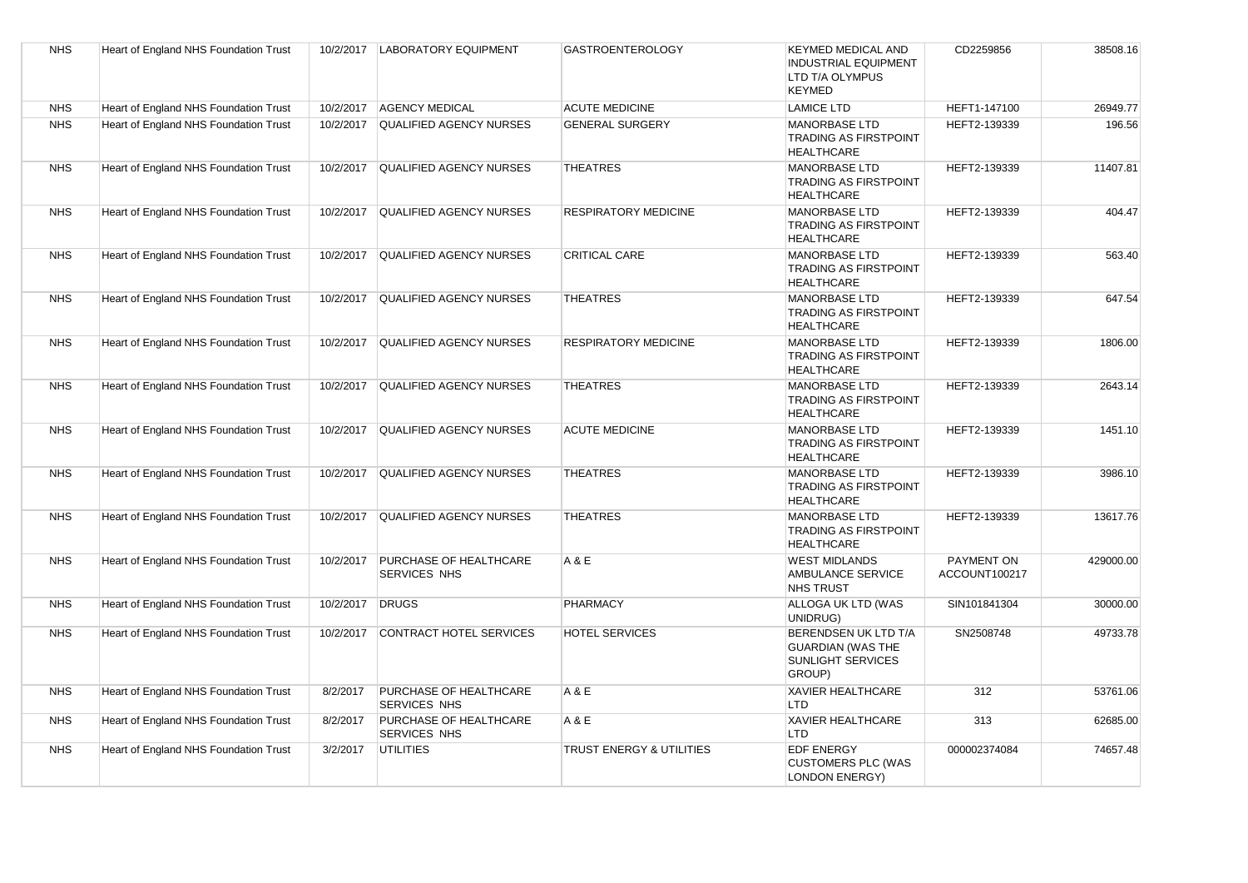| <b>NHS</b> | Heart of England NHS Foundation Trust |           | 10/2/2017   LABORATORY EQUIPMENT                     | <b>GASTROENTEROLOGY</b>     | <b>KEYMED MEDICAL AND</b><br>INDUSTRIAL EQUIPMENT<br>LTD T/A OLYMPUS<br><b>KEYMED</b> | CD2259856                   | 38508.16  |
|------------|---------------------------------------|-----------|------------------------------------------------------|-----------------------------|---------------------------------------------------------------------------------------|-----------------------------|-----------|
| <b>NHS</b> | Heart of England NHS Foundation Trust | 10/2/2017 | <b>AGENCY MEDICAL</b>                                | <b>ACUTE MEDICINE</b>       | <b>LAMICE LTD</b>                                                                     | HEFT1-147100                | 26949.77  |
| <b>NHS</b> | Heart of England NHS Foundation Trust | 10/2/2017 | <b>QUALIFIED AGENCY NURSES</b>                       | <b>GENERAL SURGERY</b>      | <b>MANORBASE LTD</b><br><b>TRADING AS FIRSTPOINT</b><br><b>HEALTHCARE</b>             | HEFT2-139339                | 196.56    |
| <b>NHS</b> | Heart of England NHS Foundation Trust | 10/2/2017 | QUALIFIED AGENCY NURSES                              | <b>THEATRES</b>             | <b>MANORBASE LTD</b><br><b>TRADING AS FIRSTPOINT</b><br><b>HEALTHCARE</b>             | HEFT2-139339                | 11407.81  |
| <b>NHS</b> | Heart of England NHS Foundation Trust | 10/2/2017 | <b>QUALIFIED AGENCY NURSES</b>                       | <b>RESPIRATORY MEDICINE</b> | <b>MANORBASE LTD</b><br><b>TRADING AS FIRSTPOINT</b><br><b>HEALTHCARE</b>             | HEFT2-139339                | 404.47    |
| <b>NHS</b> | Heart of England NHS Foundation Trust | 10/2/2017 | <b>QUALIFIED AGENCY NURSES</b>                       | CRITICAL CARE               | <b>MANORBASE LTD</b><br><b>TRADING AS FIRSTPOINT</b><br><b>HEALTHCARE</b>             | HEFT2-139339                | 563.40    |
| <b>NHS</b> | Heart of England NHS Foundation Trust | 10/2/2017 | <b>QUALIFIED AGENCY NURSES</b>                       | <b>THEATRES</b>             | <b>MANORBASE LTD</b><br><b>TRADING AS FIRSTPOINT</b><br><b>HEALTHCARE</b>             | HEFT2-139339                | 647.54    |
| <b>NHS</b> | Heart of England NHS Foundation Trust | 10/2/2017 | <b>QUALIFIED AGENCY NURSES</b>                       | <b>RESPIRATORY MEDICINE</b> | <b>MANORBASE LTD</b><br><b>TRADING AS FIRSTPOINT</b><br><b>HEALTHCARE</b>             | HEFT2-139339                | 1806.00   |
| <b>NHS</b> | Heart of England NHS Foundation Trust | 10/2/2017 | <b>QUALIFIED AGENCY NURSES</b>                       | <b>THEATRES</b>             | <b>MANORBASE LTD</b><br><b>TRADING AS FIRSTPOINT</b><br><b>HEALTHCARE</b>             | HEFT2-139339                | 2643.14   |
| <b>NHS</b> | Heart of England NHS Foundation Trust | 10/2/2017 | <b>QUALIFIED AGENCY NURSES</b>                       | <b>ACUTE MEDICINE</b>       | <b>MANORBASE LTD</b><br><b>TRADING AS FIRSTPOINT</b><br><b>HEALTHCARE</b>             | HEFT2-139339                | 1451.10   |
| <b>NHS</b> | Heart of England NHS Foundation Trust | 10/2/2017 | <b>QUALIFIED AGENCY NURSES</b>                       | <b>THEATRES</b>             | <b>MANORBASE LTD</b><br><b>TRADING AS FIRSTPOINT</b><br><b>HEALTHCARE</b>             | HEFT2-139339                | 3986.10   |
| <b>NHS</b> | Heart of England NHS Foundation Trust | 10/2/2017 | QUALIFIED AGENCY NURSES                              | <b>THEATRES</b>             | <b>MANORBASE LTD</b><br><b>TRADING AS FIRSTPOINT</b><br><b>HEALTHCARE</b>             | HEFT2-139339                | 13617.76  |
| <b>NHS</b> | Heart of England NHS Foundation Trust | 10/2/2017 | <b>PURCHASE OF HEALTHCARE</b><br><b>SERVICES NHS</b> | A & E                       | <b>WEST MIDLANDS</b><br><b>AMBULANCE SERVICE</b><br><b>NHS TRUST</b>                  | PAYMENT ON<br>ACCOUNT100217 | 429000.00 |
| <b>NHS</b> | Heart of England NHS Foundation Trust | 10/2/2017 | <b>DRUGS</b>                                         | <b>PHARMACY</b>             | ALLOGA UK LTD (WAS<br>UNIDRUG)                                                        | SIN101841304                | 30000.00  |
| <b>NHS</b> | Heart of England NHS Foundation Trust | 10/2/2017 | CONTRACT HOTEL SERVICES                              | HOTEL SERVICES              | BERENDSEN UK LTD T/A<br><b>GUARDIAN (WAS THE</b><br>SUNLIGHT SERVICES<br>GROUP)       | SN2508748                   | 49733.78  |
| <b>NHS</b> | Heart of England NHS Foundation Trust | 8/2/2017  | <b>PURCHASE OF HEALTHCARE</b><br><b>SERVICES NHS</b> | A & E                       | <b>XAVIER HEALTHCARE</b><br><b>LTD</b>                                                | 312                         | 53761.06  |
| <b>NHS</b> | Heart of England NHS Foundation Trust | 8/2/2017  | PURCHASE OF HEALTHCARE<br>SERVICES NHS               | A & E                       | <b>XAVIER HEALTHCARE</b><br><b>LTD</b>                                                | 313                         | 62685.00  |
| <b>NHS</b> | Heart of England NHS Foundation Trust | 3/2/2017  | <b>UTILITIES</b>                                     | TRUST ENERGY & UTILITIES    | <b>EDF ENERGY</b><br><b>CUSTOMERS PLC (WAS</b><br><b>LONDON ENERGY)</b>               | 000002374084                | 74657.48  |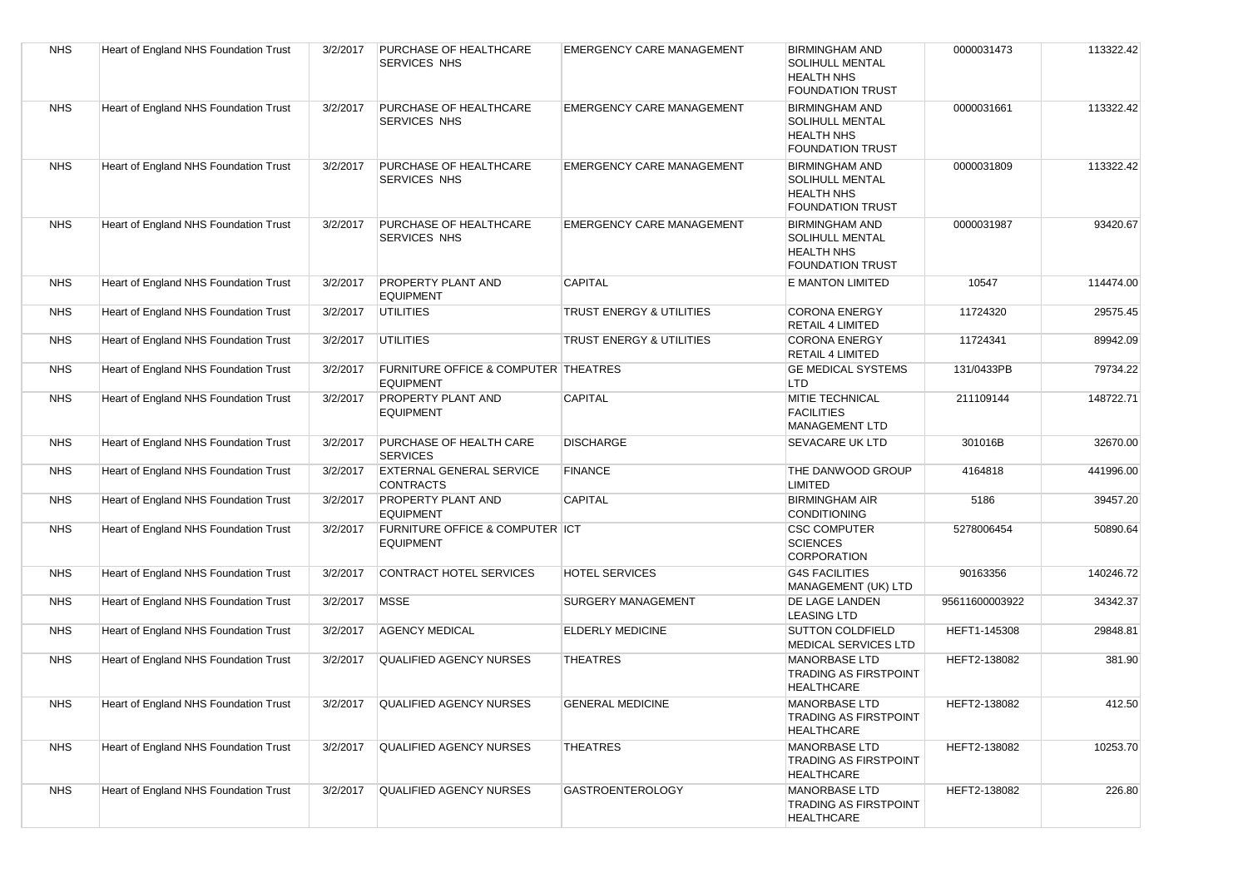| <b>NHS</b> | Heart of England NHS Foundation Trust | 3/2/2017 | <b>PURCHASE OF HEALTHCARE</b><br><b>SERVICES NHS</b>                | <b>EMERGENCY CARE MANAGEMENT</b>    | <b>BIRMINGHAM AND</b><br><b>SOLIHULL MENTAL</b><br><b>HEALTH NHS</b><br><b>FOUNDATION TRUST</b> | 0000031473     | 113322.42 |
|------------|---------------------------------------|----------|---------------------------------------------------------------------|-------------------------------------|-------------------------------------------------------------------------------------------------|----------------|-----------|
| <b>NHS</b> | Heart of England NHS Foundation Trust | 3/2/2017 | PURCHASE OF HEALTHCARE<br><b>SERVICES NHS</b>                       | <b>EMERGENCY CARE MANAGEMENT</b>    | <b>BIRMINGHAM AND</b><br><b>SOLIHULL MENTAL</b><br><b>HEALTH NHS</b><br><b>FOUNDATION TRUST</b> | 0000031661     | 113322.42 |
| <b>NHS</b> | Heart of England NHS Foundation Trust | 3/2/2017 | PURCHASE OF HEALTHCARE<br>SERVICES NHS                              | <b>EMERGENCY CARE MANAGEMENT</b>    | <b>BIRMINGHAM AND</b><br><b>SOLIHULL MENTAL</b><br><b>HEALTH NHS</b><br><b>FOUNDATION TRUST</b> | 0000031809     | 113322.42 |
| <b>NHS</b> | Heart of England NHS Foundation Trust | 3/2/2017 | PURCHASE OF HEALTHCARE<br>SERVICES NHS                              | <b>EMERGENCY CARE MANAGEMENT</b>    | <b>BIRMINGHAM AND</b><br><b>SOLIHULL MENTAL</b><br><b>HEALTH NHS</b><br><b>FOUNDATION TRUST</b> | 0000031987     | 93420.67  |
| <b>NHS</b> | Heart of England NHS Foundation Trust | 3/2/2017 | <b>PROPERTY PLANT AND</b><br><b>EQUIPMENT</b>                       | <b>CAPITAL</b>                      | <b>E MANTON LIMITED</b>                                                                         | 10547          | 114474.00 |
| <b>NHS</b> | Heart of England NHS Foundation Trust | 3/2/2017 | <b>UTILITIES</b>                                                    | TRUST ENERGY & UTILITIES            | <b>CORONA ENERGY</b><br><b>RETAIL 4 LIMITED</b>                                                 | 11724320       | 29575.45  |
| <b>NHS</b> | Heart of England NHS Foundation Trust | 3/2/2017 | <b>UTILITIES</b>                                                    | <b>TRUST ENERGY &amp; UTILITIES</b> | <b>CORONA ENERGY</b><br><b>RETAIL 4 LIMITED</b>                                                 | 11724341       | 89942.09  |
| <b>NHS</b> | Heart of England NHS Foundation Trust | 3/2/2017 | <b>FURNITURE OFFICE &amp; COMPUTER THEATRES</b><br><b>EQUIPMENT</b> |                                     | <b>GE MEDICAL SYSTEMS</b><br><b>LTD</b>                                                         | 131/0433PB     | 79734.22  |
| <b>NHS</b> | Heart of England NHS Foundation Trust | 3/2/2017 | PROPERTY PLANT AND<br><b>EQUIPMENT</b>                              | <b>CAPITAL</b>                      | MITIE TECHNICAL<br><b>FACILITIES</b><br><b>MANAGEMENT LTD</b>                                   | 211109144      | 148722.71 |
| <b>NHS</b> | Heart of England NHS Foundation Trust | 3/2/2017 | PURCHASE OF HEALTH CARE<br><b>SERVICES</b>                          | <b>DISCHARGE</b>                    | <b>SEVACARE UK LTD</b>                                                                          | 301016B        | 32670.00  |
| <b>NHS</b> | Heart of England NHS Foundation Trust | 3/2/2017 | <b>EXTERNAL GENERAL SERVICE</b><br><b>CONTRACTS</b>                 | <b>FINANCE</b>                      | THE DANWOOD GROUP<br><b>LIMITED</b>                                                             | 4164818        | 441996.00 |
| <b>NHS</b> | Heart of England NHS Foundation Trust | 3/2/2017 | PROPERTY PLANT AND<br><b>EQUIPMENT</b>                              | <b>CAPITAL</b>                      | <b>BIRMINGHAM AIR</b><br><b>CONDITIONING</b>                                                    | 5186           | 39457.20  |
| <b>NHS</b> | Heart of England NHS Foundation Trust | 3/2/2017 | <b>FURNITURE OFFICE &amp; COMPUTER ICT</b><br><b>EQUIPMENT</b>      |                                     | <b>CSC COMPUTER</b><br><b>SCIENCES</b><br><b>CORPORATION</b>                                    | 5278006454     | 50890.64  |
| <b>NHS</b> | Heart of England NHS Foundation Trust | 3/2/2017 | CONTRACT HOTEL SERVICES                                             | <b>HOTEL SERVICES</b>               | <b>G4S FACILITIES</b><br>MANAGEMENT (UK) LTD                                                    | 90163356       | 140246.72 |
| <b>NHS</b> | Heart of England NHS Foundation Trust | 3/2/2017 | <b>MSSE</b>                                                         | <b>SURGERY MANAGEMENT</b>           | DE LAGE LANDEN<br><b>LEASING LTD</b>                                                            | 95611600003922 | 34342.37  |
| <b>NHS</b> | Heart of England NHS Foundation Trust | 3/2/2017 | <b>AGENCY MEDICAL</b>                                               | <b>ELDERLY MEDICINE</b>             | <b>SUTTON COLDFIELD</b><br><b>MEDICAL SERVICES LTD</b>                                          | HEFT1-145308   | 29848.81  |
| <b>NHS</b> | Heart of England NHS Foundation Trust | 3/2/2017 | <b>QUALIFIED AGENCY NURSES</b>                                      | <b>THEATRES</b>                     | <b>MANORBASE LTD</b><br><b>TRADING AS FIRSTPOINT</b><br><b>HEALTHCARE</b>                       | HEFT2-138082   | 381.90    |
| <b>NHS</b> | Heart of England NHS Foundation Trust |          | 3/2/2017   QUALIFIED AGENCY NURSES                                  | <b>GENERAL MEDICINE</b>             | <b>MANORBASE LTD</b><br><b>TRADING AS FIRSTPOINT</b><br><b>HEALTHCARE</b>                       | HEFT2-138082   | 412.50    |
| <b>NHS</b> | Heart of England NHS Foundation Trust | 3/2/2017 | QUALIFIED AGENCY NURSES                                             | <b>THEATRES</b>                     | <b>MANORBASE LTD</b><br><b>TRADING AS FIRSTPOINT</b><br><b>HEALTHCARE</b>                       | HEFT2-138082   | 10253.70  |
| <b>NHS</b> | Heart of England NHS Foundation Trust | 3/2/2017 | <b>QUALIFIED AGENCY NURSES</b>                                      | <b>GASTROENTEROLOGY</b>             | <b>MANORBASE LTD</b><br><b>TRADING AS FIRSTPOINT</b><br><b>HEALTHCARE</b>                       | HEFT2-138082   | 226.80    |